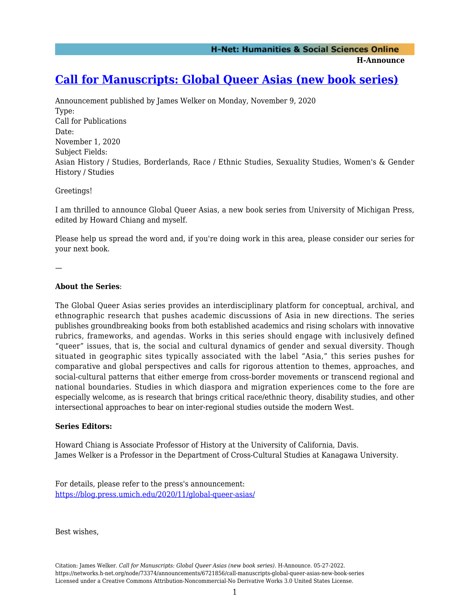**H-Announce** 

## **[Call for Manuscripts: Global Queer Asias \(new book series\)](https://networks.h-net.org/node/73374/announcements/6721856/call-manuscripts-global-queer-asias-new-book-series)**

Announcement published by James Welker on Monday, November 9, 2020 Type: Call for Publications Date: November 1, 2020 Subject Fields: Asian History / Studies, Borderlands, Race / Ethnic Studies, Sexuality Studies, Women's & Gender History / Studies

Greetings!

I am thrilled to announce Global Queer Asias, a new book series from University of Michigan Press, edited by Howard Chiang and myself.

Please help us spread the word and, if you're doing work in this area, please consider our series for your next book.

—

## **About the Series**:

The Global Queer Asias series provides an interdisciplinary platform for conceptual, archival, and ethnographic research that pushes academic discussions of Asia in new directions. The series publishes groundbreaking books from both established academics and rising scholars with innovative rubrics, frameworks, and agendas. Works in this series should engage with inclusively defined "queer" issues, that is, the social and cultural dynamics of gender and sexual diversity. Though situated in geographic sites typically associated with the label "Asia," this series pushes for comparative and global perspectives and calls for rigorous attention to themes, approaches, and social-cultural patterns that either emerge from cross-border movements or transcend regional and national boundaries. Studies in which diaspora and migration experiences come to the fore are especially welcome, as is research that brings critical race/ethnic theory, disability studies, and other intersectional approaches to bear on inter-regional studies outside the modern West.

## **Series Editors:**

Howard Chiang is Associate Professor of History at the University of California, Davis. James Welker is a Professor in the Department of Cross-Cultural Studies at Kanagawa University.

For details, please refer to the press's announcement: <https://blog.press.umich.edu/2020/11/global-queer-asias/>

Best wishes,

Citation: James Welker. *Call for Manuscripts: Global Queer Asias (new book series)*. H-Announce. 05-27-2022. https://networks.h-net.org/node/73374/announcements/6721856/call-manuscripts-global-queer-asias-new-book-series Licensed under a Creative Commons Attribution-Noncommercial-No Derivative Works 3.0 United States License.